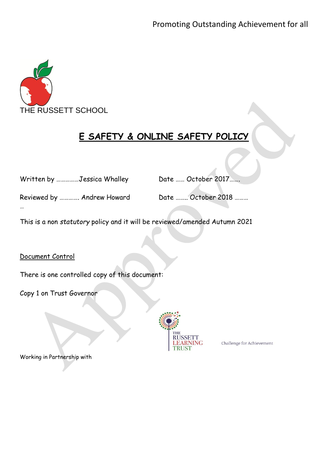

# **E SAFETY & ONLINE SAFETY POLICY**

|  | Written by Jessica Whalley |  |
|--|----------------------------|--|
|--|----------------------------|--|

Date …… October 2017…….

Reviewed by ............. Andrew Howard Date ......... October 2018 .........

This is a non *statutory* policy and it will be reviewed/amended Autumn 2021

Document Control

…

There is one controlled copy of this document:

Copy 1 on Trust Governor



Challenge for Achievement

Working in Partnership with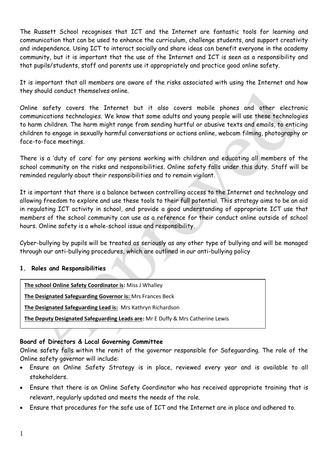The Russett School recognises that ICT and the Internet are fantastic tools for learning and communication that can be used to enhance the curriculum, challenge students, and support creativity and independence. Using ICT to interact socially and share ideas can benefit everyone in the academy community, but it is important that the use of the Internet and ICT is seen as a responsibility and that pupils/students, staff and parents use it appropriately and practice good online safety.

It is important that all members are aware of the risks associated with using the Internet and how they should conduct themselves online.

Online safety covers the Internet but it also covers mobile phones and other electronic communications technologies. We know that some adults and young people will use these technologies to harm children. The harm might range from sending hurtful or abusive texts and emails, to enticing children to engage in sexually harmful conversations or actions online, webcam filming, photography or face-to-face meetings.

There is a 'duty of care' for any persons working with children and educating all members of the school community on the risks and responsibilities. Online safety falls under this duty. Staff will be reminded regularly about their responsibilities and to remain vigilant.

It is important that there is a balance between controlling access to the Internet and technology and allowing freedom to explore and use these tools to their full potential. This strategy aims to be an aid in regulating ICT activity in school, and provide a good understanding of appropriate ICT use that members of the school community can use as a reference for their conduct online outside of school hours. Online safety is a whole-school issue and responsibility.

Cyber-bullying by pupils will be treated as seriously as any other type of bullying and will be managed through our anti-bullying procedures, which are outlined in our anti-bullying policy

## **1. Roles and Responsibilities**

**The school Online Safety Coordinator is:** Miss J Whalley

**The Designated Safeguarding Governor is:** Mrs Frances Beck

**The Designated Safeguarding Lead is:** Mrs Kathryn Richardson

**The Deputy Designated Safeguarding Leads are:** Mr E Duffy & Mrs Catherine Lewis

## **Board of Directors & Local Governing Committee**

Online safety falls within the remit of the governor responsible for Safeguarding. The role of the Online safety governor will include:

- Ensure an Online Safety Strategy is in place, reviewed every year and is available to all stakeholders.
- Ensure that there is an Online Safety Coordinator who has received appropriate training that is relevant, regularly updated and meets the needs of the role.
- Ensure that procedures for the safe use of ICT and the Internet are in place and adhered to.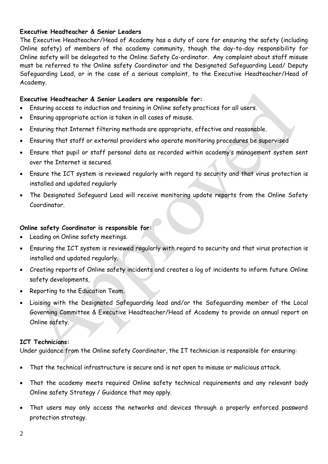#### **Executive Headteacher & Senior Leaders**

The Executive Headteacher/Head of Academy has a duty of care for ensuring the safety (including Online safety) of members of the academy community, though the day-to-day responsibility for Online safety will be delegated to the Online Safety Co-ordinator. Any complaint about staff misuse must be referred to the Online safety Coordinator and the Designated Safeguarding Lead/ Deputy Safeguarding Lead, or in the case of a serious complaint, to the Executive Headteacher/Head of Academy.

#### **Executive Headteacher & Senior Leaders are responsible for:**

- Ensuring access to induction and training in Online safety practices for all users.
- Ensuring appropriate action is taken in all cases of misuse.
- Ensuring that Internet filtering methods are appropriate, effective and reasonable.
- Ensuring that staff or external providers who operate monitoring procedures be supervised
- Ensure that pupil or staff personal data as recorded within academy's management system sent over the Internet is secured.
- Ensure the ICT system is reviewed regularly with regard to security and that virus protection is installed and updated regularly
- The Designated Safeguard Lead will receive monitoring update reports from the Online Safety Coordinator.

#### **Online safety Coordinator is responsible for:**

- Leading on Online safety meetings.
- Ensuring the ICT system is reviewed regularly with regard to security and that virus protection is installed and updated regularly.
- Creating reports of Online safety incidents and creates a log of incidents to inform future Online safety developments,
- Reporting to the Education Team.
- Liaising with the Designated Safeguarding lead and/or the Safeguarding member of the Local Governing Committee & Executive Headteacher/Head of Academy to provide an annual report on Online safety.

#### **ICT Technicians:**

Under guidance from the Online safety Coordinator, the IT technician is responsible for ensuring:

- That the technical infrastructure is secure and is not open to misuse or malicious attack.
- That the academy meets required Online safety technical requirements and any relevant body Online safety Strategy / Guidance that may apply.
- That users may only access the networks and devices through a properly enforced password protection strategy.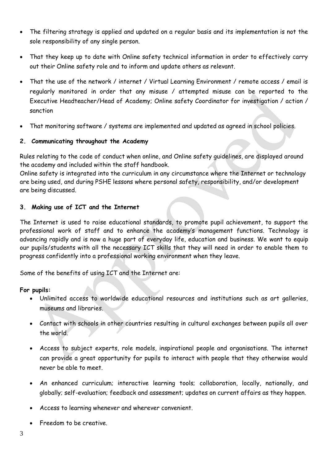- The filtering strategy is applied and updated on a regular basis and its implementation is not the sole responsibility of any single person.
- That they keep up to date with Online safety technical information in order to effectively carry out their Online safety role and to inform and update others as relevant.
- That the use of the network / internet / Virtual Learning Environment / remote access / email is regularly monitored in order that any misuse / attempted misuse can be reported to the Executive Headteacher/Head of Academy; Online safety Coordinator for investigation / action / sanction
- That monitoring software / systems are implemented and updated as agreed in school policies.

## **2. Communicating throughout the Academy**

Rules relating to the code of conduct when online, and Online safety guidelines, are displayed around the academy and included within the staff handbook.

Online safety is integrated into the curriculum in any circumstance where the Internet or technology are being used, and during PSHE lessons where personal safety, responsibility, and/or development are being discussed.

# **3. Making use of ICT and the Internet**

The Internet is used to raise educational standards, to promote pupil achievement, to support the professional work of staff and to enhance the academy's management functions. Technology is advancing rapidly and is now a huge part of everyday life, education and business. We want to equip our pupils/students with all the necessary ICT skills that they will need in order to enable them to progress confidently into a professional working environment when they leave.

Some of the benefits of using ICT and the Internet are:

## **For pupils:**

- Unlimited access to worldwide educational resources and institutions such as art galleries, museums and libraries.
- Contact with schools in other countries resulting in cultural exchanges between pupils all over the world.
- Access to subject experts, role models, inspirational people and organisations. The internet can provide a great opportunity for pupils to interact with people that they otherwise would never be able to meet.
- An enhanced curriculum; interactive learning tools; collaboration, locally, nationally, and globally; self-evaluation; feedback and assessment; updates on current affairs as they happen.
- Access to learning whenever and wherever convenient.
- Freedom to be creative.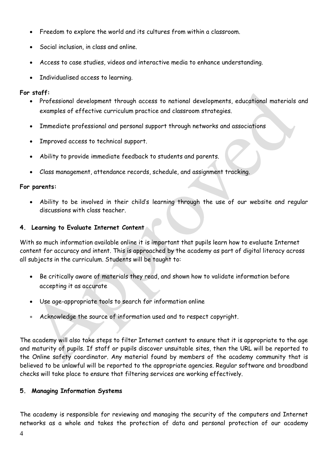- Freedom to explore the world and its cultures from within a classroom.
- Social inclusion, in class and online.
- Access to case studies, videos and interactive media to enhance understanding.
- Individualised access to learning.

# **For staff:**

- Professional development through access to national developments, educational materials and examples of effective curriculum practice and classroom strategies.
- Immediate professional and personal support through networks and associations
- Improved access to technical support.
- Ability to provide immediate feedback to students and parents.
- Class management, attendance records, schedule, and assignment tracking.

# **For parents:**

• Ability to be involved in their child's learning through the use of our website and regular discussions with class teacher.

# **4. Learning to Evaluate Internet Content**

With so much information available online it is important that pupils learn how to evaluate Internet content for accuracy and intent. This is approached by the academy as part of digital literacy across all subjects in the curriculum. Students will be taught to:

- Be critically aware of materials they read, and shown how to validate information before accepting it as accurate
- Use age-appropriate tools to search for information online
- Acknowledge the source of information used and to respect copyright.

The academy will also take steps to filter Internet content to ensure that it is appropriate to the age and maturity of pupils. If staff or pupils discover unsuitable sites, then the URL will be reported to the Online safety coordinator*.* Any material found by members of the academy community that is believed to be unlawful will be reported to the appropriate agencies. Regular software and broadband checks will take place to ensure that filtering services are working effectively.

# **5. Managing Information Systems**

The academy is responsible for reviewing and managing the security of the computers and Internet networks as a whole and takes the protection of data and personal protection of our academy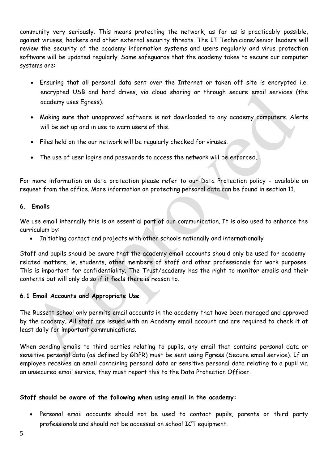community very seriously. This means protecting the network, as far as is practicably possible, against viruses, hackers and other external security threats. The IT Technicians/senior leaders will review the security of the academy information systems and users regularly and virus protection software will be updated regularly. Some safeguards that the academy takes to secure our computer systems are:

- Ensuring that all personal data sent over the Internet or taken off site is encrypted i.e. encrypted USB and hard drives, via cloud sharing or through secure email services (the academy uses Egress).
- Making sure that unapproved software is not downloaded to any academy computers. Alerts will be set up and in use to warn users of this.
- Files held on the our network will be regularly checked for viruses.
- The use of user logins and passwords to access the network will be enforced.

For more information on data protection please refer to our Data Protection policy - available on request from the office. More information on protecting personal data can be found in section 11.

## **6. Emails**

We use email internally this is an essential part of our communication. It is also used to enhance the curriculum by:

• Initiating contact and projects with other schools nationally and internationally

Staff and pupils should be aware that the academy email accounts should only be used for academyrelated matters, ie, students, other members of staff and other professionals for work purposes. This is important for confidentiality. The Trust/academy has the right to monitor emails and their contents but will only do so if it feels there is reason to.

## **6.1 Email Accounts and Appropriate Use**

The Russett school only permits email accounts in the academy that have been managed and approved by the academy. All staff are issued with an Academy email account and are required to check it at least daily for important communications.

When sending emails to third parties relating to pupils, any email that contains personal data or sensitive personal data (as defined by GDPR) must be sent using Egress (Secure email service). If an employee receives an email containing personal data or sensitive personal data relating to a pupil via an unsecured email service, they must report this to the Data Protection Officer.

## **Staff should be aware of the following when using email in the academy:**

• Personal email accounts should not be used to contact pupils, parents or third party professionals and should not be accessed on school ICT equipment.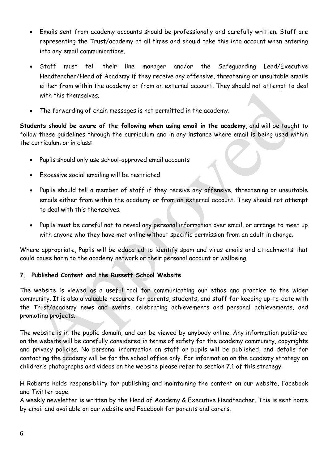- Emails sent from academy accounts should be professionally and carefully written. Staff are representing the Trust/academy at all times and should take this into account when entering into any email communications.
- Staff must tell their line manager and/or the Safeguarding Lead/Executive Headteacher/Head of Academy if they receive any offensive, threatening or unsuitable emails either from within the academy or from an external account. They should not attempt to deal with this themselves.
- The forwarding of chain messages is not permitted in the academy.

**Students should be aware of the following when using email in the academy**, and will be taught to follow these guidelines through the curriculum and in any instance where email is being used within the curriculum or in class:

- Pupils should only use school-approved email accounts
- Excessive social emailing will be restricted
- Pupils should tell a member of staff if they receive any offensive, threatening or unsuitable emails either from within the academy or from an external account. They should not attempt to deal with this themselves.
- Pupils must be careful not to reveal any personal information over email, or arrange to meet up with anyone who they have met online without specific permission from an adult in charge.

Where appropriate, Pupils will be educated to identify spam and virus emails and attachments that could cause harm to the academy network or their personal account or wellbeing.

## **7. Published Content and the Russett School Website**

The website is viewed as a useful tool for communicating our ethos and practice to the wider community. It is also a valuable resource for parents, students, and staff for keeping up-to-date with the Trust/academy news and events, celebrating achievements and personal achievements, and promoting projects.

The website is in the public domain, and can be viewed by anybody online. Any information published on the website will be carefully considered in terms of safety for the academy community, copyrights and privacy policies. No personal information on staff or pupils will be published, and details for contacting the academy will be for the school office only. For information on the academy strategy on children's photographs and videos on the website please refer to section 7.1 of this strategy.

H Roberts holds responsibility for publishing and maintaining the content on our website, Facebook and Twitter page.

A weekly newsletter is written by the Head of Academy & Executive Headteacher. This is sent home by email and available on our website and Facebook for parents and carers.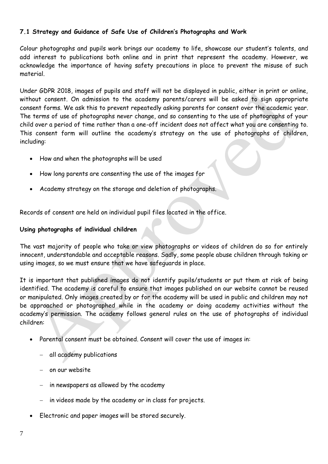#### **7.1 Strategy and Guidance of Safe Use of Children's Photographs and Work**

Colour photographs and pupils work brings our academy to life, showcase our student's talents, and add interest to publications both online and in print that represent the academy. However, we acknowledge the importance of having safety precautions in place to prevent the misuse of such material.

Under GDPR 2018, images of pupils and staff will not be displayed in public, either in print or online, without consent. On admission to the academy parents/carers will be asked to sign appropriate consent forms. We ask this to prevent repeatedly asking parents for consent over the academic year. The terms of use of photographs never change, and so consenting to the use of photographs of your child over a period of time rather than a one-off incident does not affect what you are consenting to. This consent form will outline the academy's strategy on the use of photographs of children, including:

- How and when the photographs will be used
- How long parents are consenting the use of the images for
- Academy strategy on the storage and deletion of photographs.

Records of consent are held on individual pupil files located in the office.

#### **Using photographs of individual children**

The vast majority of people who take or view photographs or videos of children do so for entirely innocent, understandable and acceptable reasons. Sadly, some people abuse children through taking or using images, so we must ensure that we have safeguards in place.

It is important that published images do not identify pupils/students or put them at risk of being identified. The academy is careful to ensure that images published on our website cannot be reused or manipulated. Only images created by or for the academy will be used in public and children may not be approached or photographed while in the academy or doing academy activities without the academy's permission. The academy follows general rules on the use of photographs of individual children:

- Parental consent must be obtained. Consent will cover the use of images in:
	- − all academy publications
	- − on our website
	- − in newspapers as allowed by the academy
	- − in videos made by the academy or in class for projects.
- Electronic and paper images will be stored securely.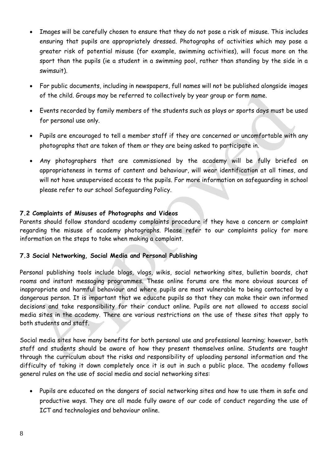- Images will be carefully chosen to ensure that they do not pose a risk of misuse. This includes ensuring that pupils are appropriately dressed. Photographs of activities which may pose a greater risk of potential misuse (for example, swimming activities), will focus more on the sport than the pupils (ie a student in a swimming pool, rather than standing by the side in a swimsuit).
- For public documents, including in newspapers, full names will not be published alongside images of the child. Groups may be referred to collectively by year group or form name.
- Events recorded by family members of the students such as plays or sports days must be used for personal use only.
- Pupils are encouraged to tell a member staff if they are concerned or uncomfortable with any photographs that are taken of them or they are being asked to participate in.
- Any photographers that are commissioned by the academy will be fully briefed on appropriateness in terms of content and behaviour, will wear identification at all times, and will not have unsupervised access to the pupils. For more information on safeguarding in school please refer to our school Safeguarding Policy.

#### **7.2 Complaints of Misuses of Photographs and Videos**

Parents should follow standard academy complaints procedure if they have a concern or complaint regarding the misuse of academy photographs. Please refer to our complaints policy for more information on the steps to take when making a complaint.

#### **7.3 Social Networking, Social Media and Personal Publishing**

Personal publishing tools include blogs, vlogs, wikis, social networking sites, bulletin boards, chat rooms and instant messaging programmes. These online forums are the more obvious sources of inappropriate and harmful behaviour and where pupils are most vulnerable to being contacted by a dangerous person. It is important that we educate pupils so that they can make their own informed decisions and take responsibility for their conduct online. Pupils are not allowed to access social media sites in the academy. There are various restrictions on the use of these sites that apply to both students and staff.

Social media sites have many benefits for both personal use and professional learning; however, both staff and students should be aware of how they present themselves online. Students are taught through the curriculum about the risks and responsibility of uploading personal information and the difficulty of taking it down completely once it is out in such a public place. The academy follows general rules on the use of social media and social networking sites:

• Pupils are educated on the dangers of social networking sites and how to use them in safe and productive ways. They are all made fully aware of our code of conduct regarding the use of ICT and technologies and behaviour online.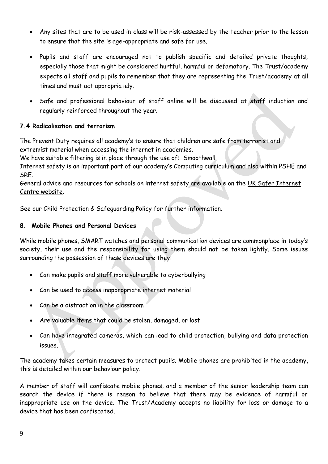- Any sites that are to be used in class will be risk-assessed by the teacher prior to the lesson to ensure that the site is age-appropriate and safe for use.
- Pupils and staff are encouraged not to publish specific and detailed private thoughts, especially those that might be considered hurtful, harmful or defamatory. The Trust/academy expects all staff and pupils to remember that they are representing the Trust/academy at all times and must act appropriately.
- Safe and professional behaviour of staff online will be discussed at staff induction and regularly reinforced throughout the year.

## **7.4 Radicalisation and terrorism**

The Prevent Duty requires all academy's to ensure that children are safe from terrorist and extremist material when accessing the internet in academies.

We have suitable filtering is in place through the use of: Smoothwall

Internet safety is an important part of our academy's Computing curriculum and also within PSHE and SRE.

General advice and resources for schools on internet safety are available on the [UK Safer Internet](http://www.saferinternet.org.uk/)  [Centre website.](http://www.saferinternet.org.uk/)

See our Child Protection & Safeguarding Policy for further information.

## **8. Mobile Phones and Personal Devices**

While mobile phones, SMART watches and personal communication devices are commonplace in today's society, their use and the responsibility for using them should not be taken lightly. Some issues surrounding the possession of these devices are they:

- Can make pupils and staff more vulnerable to cyberbullying
- Can be used to access inappropriate internet material
- Can be a distraction in the classroom
- Are valuable items that could be stolen, damaged, or lost
- Can have integrated cameras, which can lead to child protection, bullying and data protection issues.

The academy takes certain measures to protect pupils. Mobile phones are prohibited in the academy, this is detailed within our behaviour policy.

A member of staff will confiscate mobile phones, and a member of the senior leadership team can search the device if there is reason to believe that there may be evidence of harmful or inappropriate use on the device. The Trust/Academy accepts no liability for loss or damage to a device that has been confiscated.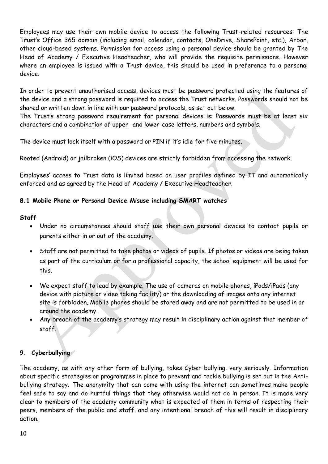Employees may use their own mobile device to access the following Trust-related resources: The Trust's Office 365 domain (including email, calendar, contacts, OneDrive, SharePoint, etc.), Arbor, other cloud-based systems. Permission for access using a personal device should be granted by The Head of Academy / Executive Headteacher, who will provide the requisite permissions. However where an employee is issued with a Trust device, this should be used in preference to a personal device.

In order to prevent unauthorised access, devices must be password protected using the features of the device and a strong password is required to access the Trust networks. Passwords should not be shared or written down in line with our password protocols, as set out below.

The Trust's strong password requirement for personal devices is: Passwords must be at least six characters and a combination of upper- and lower-case letters, numbers and symbols.

The device must lock itself with a password or PIN if it's idle for five minutes.

Rooted (Android) or jailbroken (iOS) devices are strictly forbidden from accessing the network.

Employees' access to Trust data is limited based on user profiles defined by IT and automatically enforced and as agreed by the Head of Academy / Executive Headteacher.

## **8.1 Mobile Phone or Personal Device Misuse including SMART watches**

#### **Staff**

- Under no circumstances should staff use their own personal devices to contact pupils or parents either in or out of the academy.
- Staff are not permitted to take photos or videos of pupils. If photos or videos are being taken as part of the curriculum or for a professional capacity, the school equipment will be used for this.
- We expect staff to lead by example. The use of cameras on mobile phones, iPods/iPads (any device with picture or video taking facility) or the downloading of images onto any internet site is forbidden. Mobile phones should be stored away and are not permitted to be used in or around the academy.
- Any breach of the academy's strategy may result in disciplinary action against that member of staff.

## **9. Cyberbullying**

The academy, as with any other form of bullying, takes Cyber bullying, very seriously. Information about specific strategies or programmes in place to prevent and tackle bullying is set out in the Antibullying strategy. The anonymity that can come with using the internet can sometimes make people feel safe to say and do hurtful things that they otherwise would not do in person. It is made very clear to members of the academy community what is expected of them in terms of respecting their peers, members of the public and staff, and any intentional breach of this will result in disciplinary action.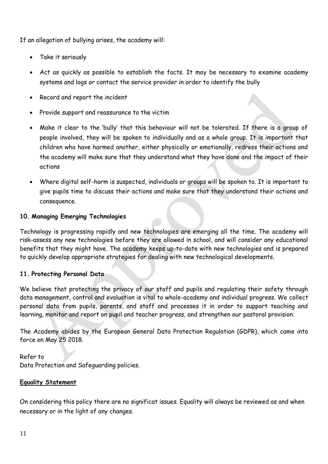If an allegation of bullying arises, the academy will:

- Take it seriously
- Act as quickly as possible to establish the facts. It may be necessary to examine academy systems and logs or contact the service provider in order to identify the bully
- Record and report the incident
- Provide support and reassurance to the victim
- Make it clear to the 'bully' that this behaviour will not be tolerated. If there is a group of people involved, they will be spoken to individually and as a whole group. It is important that children who have harmed another, either physically or emotionally, redress their actions and the academy will make sure that they understand what they have done and the impact of their actions
- Where digital self-harm is suspected, individuals or groups will be spoken to. It is important to give pupils time to discuss their actions and make sure that they understand their actions and consequence.

## **10. Managing Emerging Technologies**

Technology is progressing rapidly and new technologies are emerging all the time. The academy will risk-assess any new technologies before they are allowed in school, and will consider any educational benefits that they might have. The academy keeps up-to-date with new technologies and is prepared to quickly develop appropriate strategies for dealing with new technological developments.

#### **11. Protecting Personal Data**

We believe that protecting the privacy of our staff and pupils and regulating their safety through data management, control and evaluation is vital to whole-academy and individual progress. We collect personal data from pupils, parents, and staff and processes it in order to support teaching and learning, monitor and report on pupil and teacher progress, and strengthen our pastoral provision.

The Academy abides by the European General Data Protection Regulation (GDPR), which came into force on May 25 2018.

Refer to Data Protection and Safeguarding policies.

#### **Equality Statement**

On considering this policy there are no significat issues. Equality will always be reviewed as and when necessary or in the light of any changes.